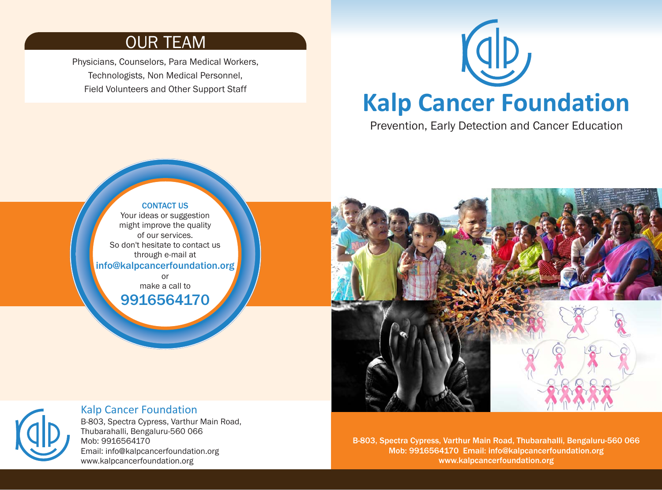### OUR TEAM

Physicians, Counselors, Para Medical Workers, Technologists, Non Medical Personnel, Field Volunteers and Other Support Staff

> CONTACT US Your ideas or suggestion might improve the quality of our services. So don't hesitate to contact us through e-mail at

or make a call to 9916564170



# **Kalp Cancer Foundation**

Prevention, Early Detection and Cancer Education





### Kalp Cancer Foundation

B-803, Spectra Cypress, Varthur Main Road, Thubarahalli, Bengaluru-560 066 Mob: 9916564170 Email: info@kalpcancerfoundation.org www.kalpcancerfoundation.org

B-803, Spectra Cypress, Varthur Main Road, Thubarahalli, Bengaluru-560 066 Mob: 9916564170 Email: info@kalpcancerfoundation.org www.kalpcancerfoundation.org